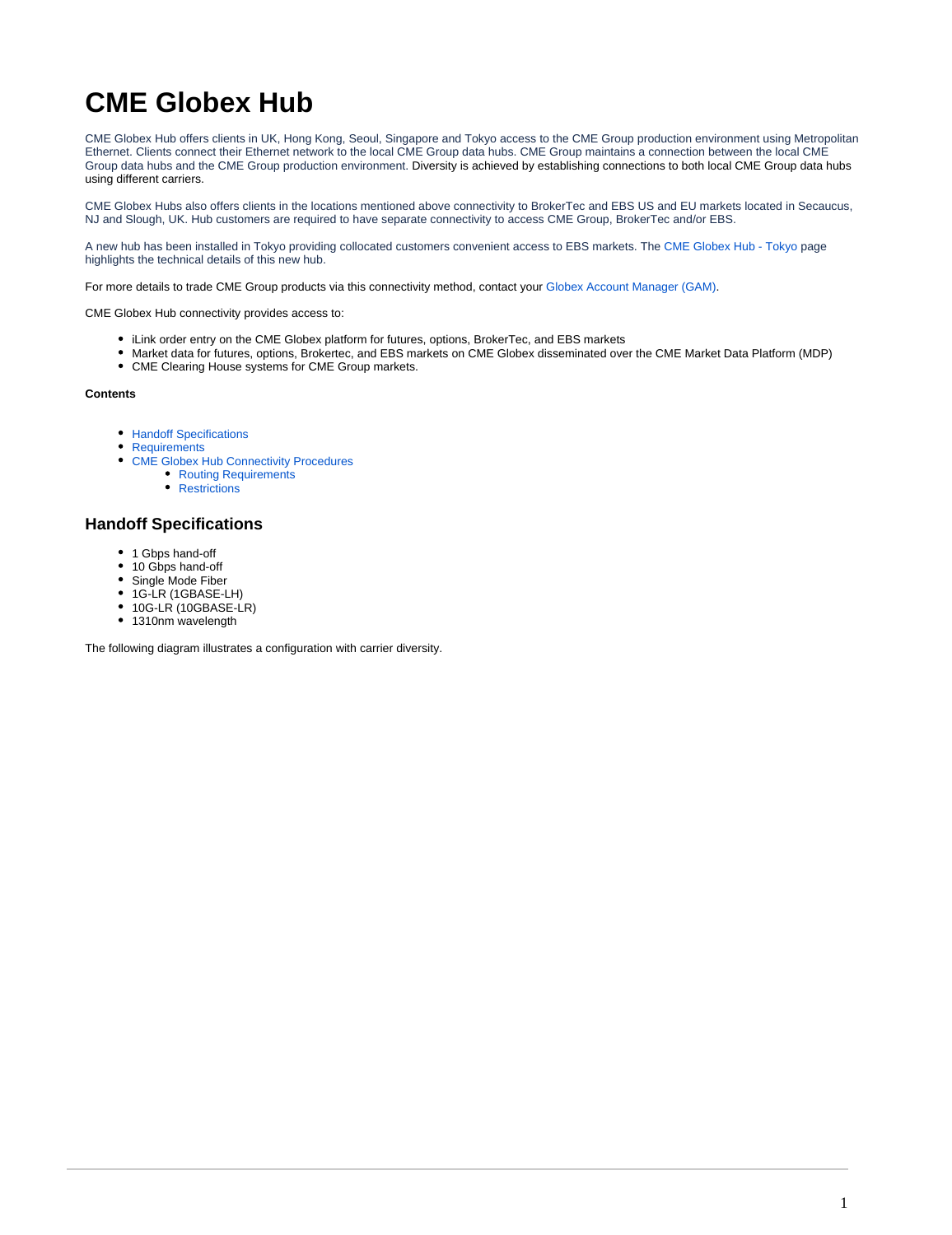# **CME Globex Hub**

CME Globex Hub offers clients in UK, Hong Kong, Seoul, Singapore and Tokyo access to the CME Group production environment using Metropolitan Ethernet. Clients connect their Ethernet network to the local CME Group data hubs. CME Group maintains a connection between the local CME Group data hubs and the CME Group production environment. Diversity is achieved by establishing connections to both local CME Group data hubs using different carriers.

CME Globex Hubs also offers clients in the locations mentioned above connectivity to BrokerTec and EBS US and EU markets located in Secaucus, NJ and Slough, UK. Hub customers are required to have separate connectivity to access CME Group, BrokerTec and/or EBS.

A new hub has been installed in Tokyo providing collocated customers convenient access to EBS markets. The [CME Globex Hub - Tokyo](https://www.cmegroup.com/confluence/display/EPICSANDBOX/CME+Globex+Hub+-+Tokyo) page highlights the technical details of this new hub.

For more details to trade CME Group products via this connectivity method, contact your [Globex Account Manager \(GAM\)](https://www.cmegroup.com/confluence/display/EPICSANDBOX/Contact+Information).

CME Globex Hub connectivity provides access to:

- iLink order entry on the CME Globex platform for futures, options, BrokerTec, and EBS markets
- Market data for futures, options, Brokertec, and EBS markets on CME Globex disseminated over the CME Market Data Platform (MDP)
- CME Clearing House systems for CME Group markets.

#### **Contents**

- [Handoff Specifications](#page-0-0)
- **[Requirements](#page-1-0)**
- [CME Globex Hub Connectivity Procedures](#page-1-1)
	- [Routing Requirements](#page-2-0)
	- [Restrictions](#page-2-1)

## <span id="page-0-0"></span>**Handoff Specifications**

- 1 Gbps hand-off
- 10 Gbps hand-off
- Single Mode Fiber  $\bullet$
- $\bullet$ 1G-LR (1GBASE-LH)
- 10G-LR (10GBASE-LR)
- 1310nm wavelength

The following diagram illustrates a configuration with carrier diversity.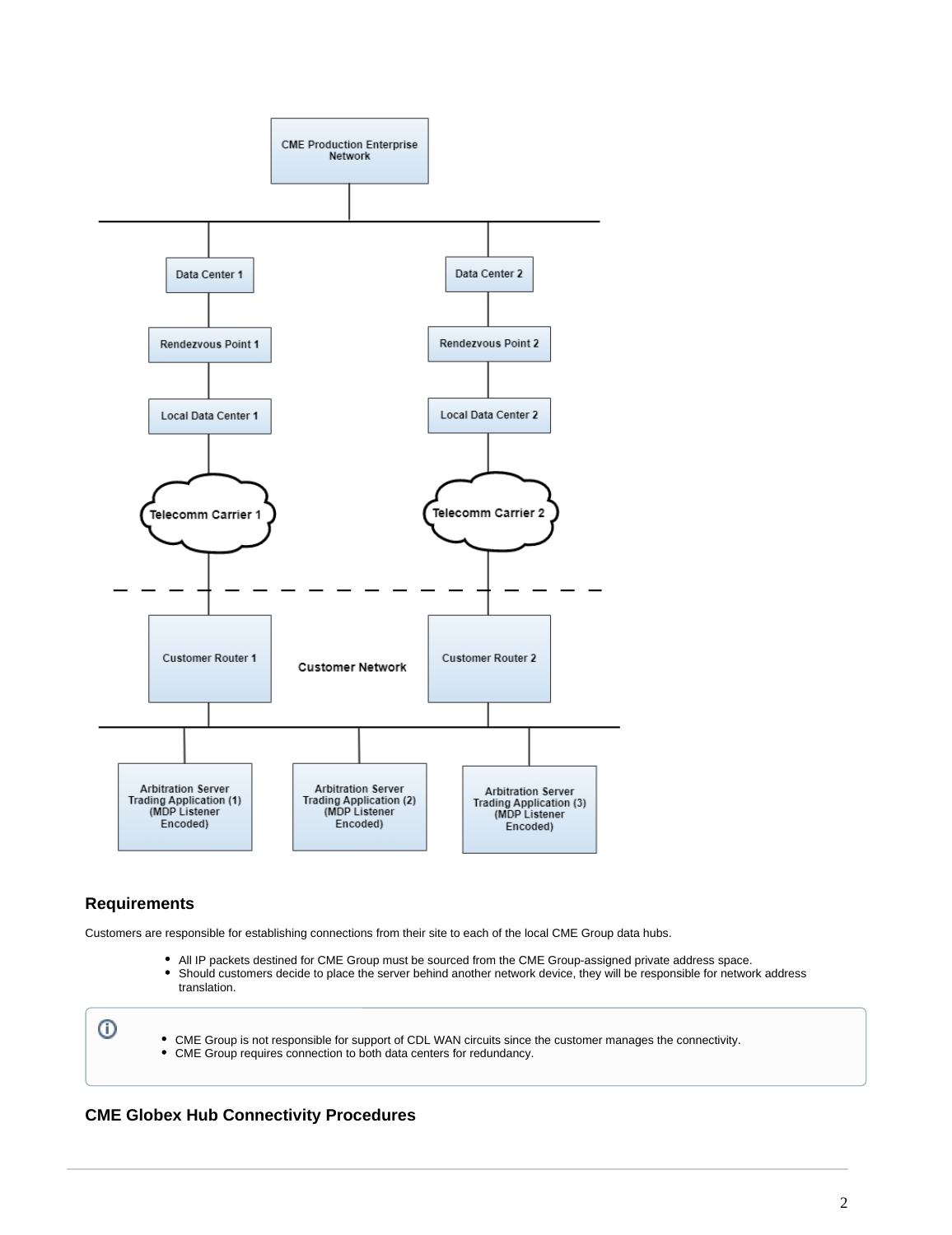

## <span id="page-1-0"></span>**Requirements**

Customers are responsible for establishing connections from their site to each of the local CME Group data hubs.

- All IP packets destined for CME Group must be sourced from the CME Group-assigned private address space.
- Should customers decide to place the server behind another network device, they will be responsible for network address translation.

⊙

CME Group is not responsible for support of CDL WAN circuits since the customer manages the connectivity. CME Group requires connection to both data centers for redundancy.

## <span id="page-1-1"></span>**CME Globex Hub Connectivity Procedures**